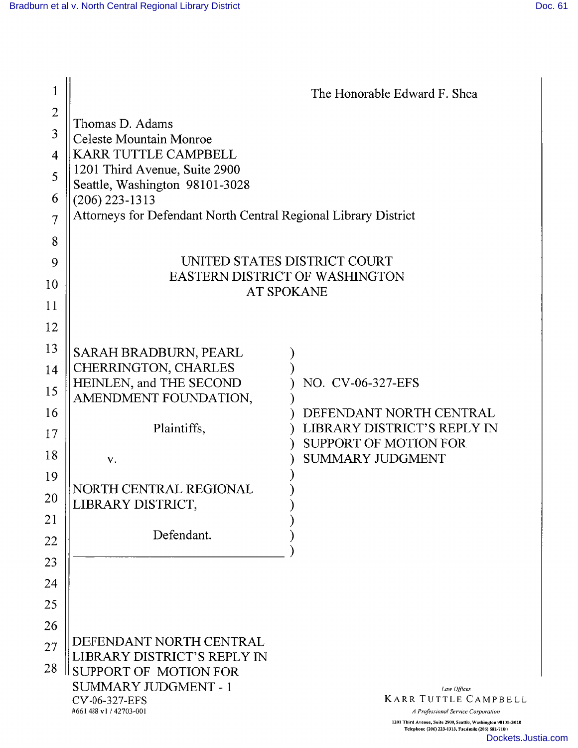| 1              |                                                                 |                                                                                                                     |  |
|----------------|-----------------------------------------------------------------|---------------------------------------------------------------------------------------------------------------------|--|
| $\overline{c}$ |                                                                 | The Honorable Edward F. Shea                                                                                        |  |
|                | Thomas D. Adams                                                 |                                                                                                                     |  |
| 3              | <b>Celeste Mountain Monroe</b>                                  |                                                                                                                     |  |
| $\overline{4}$ | <b>KARR TUTTLE CAMPBELL</b><br>1201 Third Avenue, Suite 2900    |                                                                                                                     |  |
| 5              | Seattle, Washington 98101-3028                                  |                                                                                                                     |  |
| 6              | $(206)$ 223-1313                                                |                                                                                                                     |  |
| $\overline{7}$ | Attorneys for Defendant North Central Regional Library District |                                                                                                                     |  |
| 8              |                                                                 |                                                                                                                     |  |
| 9              | UNITED STATES DISTRICT COURT                                    |                                                                                                                     |  |
| 10             | <b>EASTERN DISTRICT OF WASHINGTON</b><br><b>AT SPOKANE</b>      |                                                                                                                     |  |
| 11             |                                                                 |                                                                                                                     |  |
| 12             |                                                                 |                                                                                                                     |  |
| 13             | SARAH BRADBURN, PEARL                                           |                                                                                                                     |  |
| 14             | CHERRINGTON, CHARLES                                            |                                                                                                                     |  |
| 15             | HEINLEN, and THE SECOND                                         | NO. CV-06-327-EFS                                                                                                   |  |
| 16             | AMENDMENT FOUNDATION,                                           | DEFENDANT NORTH CENTRAL                                                                                             |  |
| 17             | Plaintiffs,                                                     | LIBRARY DISTRICT'S REPLY IN                                                                                         |  |
|                |                                                                 | SUPPORT OF MOTION FOR                                                                                               |  |
| 18             | V.                                                              | <b>SUMMARY JUDGMENT</b>                                                                                             |  |
| 19             | NORTH CENTRAL REGIONAL                                          |                                                                                                                     |  |
| 20             | LIBRARY DISTRICT,                                               |                                                                                                                     |  |
| 21             |                                                                 |                                                                                                                     |  |
| 22             | Defendant.                                                      |                                                                                                                     |  |
| 23             |                                                                 |                                                                                                                     |  |
| 24             |                                                                 |                                                                                                                     |  |
| 25             |                                                                 |                                                                                                                     |  |
| 26             |                                                                 |                                                                                                                     |  |
| 27             | DEFENDANT NORTH CENTRAL<br>LIBRARY DISTRICT'S REPLY IN          |                                                                                                                     |  |
| 28             | SUPPORT OF MOTION FOR                                           |                                                                                                                     |  |
|                | <b>SUMMARY JUDGMENT - 1</b>                                     | Law Offices                                                                                                         |  |
|                | CV-06-327-EFS<br>#661 488 v1 / 42703-001                        | <b>KARR TUTTLE CAMPBELL</b><br>A Professional Service Corporation                                                   |  |
|                |                                                                 | 1201 Third Avenue, Suite 2900, Seattle, Washington 98101-3028<br>Telephone (206) 223-1313, Facsimile (206) 682-7100 |  |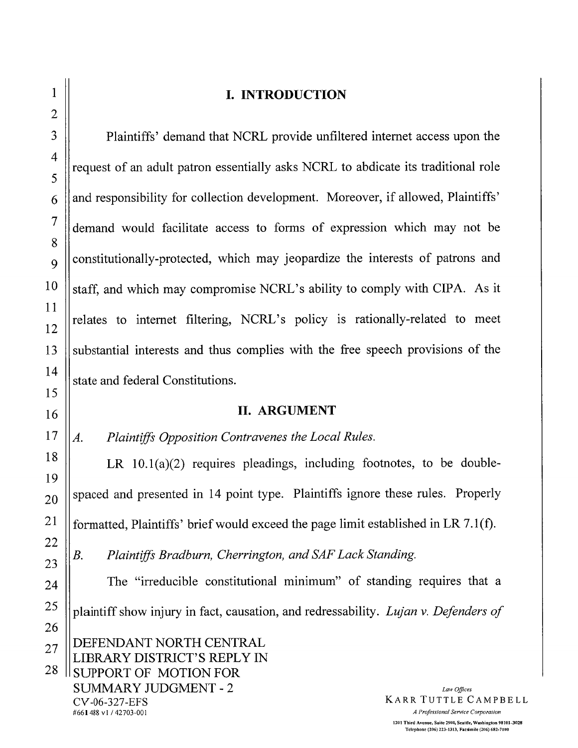## I. INTRODUCTION

Plaintiffs' demand that NCRL provide unfiltered internet access upon the request of an adult patron essentially asks NCRL to abdicate its traditional role and responsibility for collection development. Moreover, if allowed, Plaintiffs' demand would facilitate access to forms of expression which may not be constitutionally-protected, which may jeopardize the interests of patrons and staff, and which may compromise NCRL's ability to comply with CIPA. As it relates to internet filtering, NCRL's policy is rationally-related to meet substantial interests and thus complies with the free speech provisions of the state and federal Constitutions.

## II. ARGUMENT

A. Plaintiffs Opposition Contravenes the Local Rules.

LR 10.I(a)(2) requires pleadings, including footnotes, to be doublespaced and presented in 14 point type. Plaintiffs ignore these rules. Properly formatted, Plaintiffs' brief would exceed the page limit established in LR 7.1(f).

B. Plaintiffs Bradburn, Cherrington, and SAF Lack Standing.

The "irreducible constitutional minimum" of standing requires that a plaintiff show injury in fact, causation, and redressability. Lujan v. Defenders of DEFENDANT NORTH CENTRAL LIBRAY DISTRICT'S REPLY IN SUPPORT OF MOTION FOR SUMMARY JUDGMENT - 2 CY-06-327-EFS Law Offices KARR TUTTLE CAMPBELL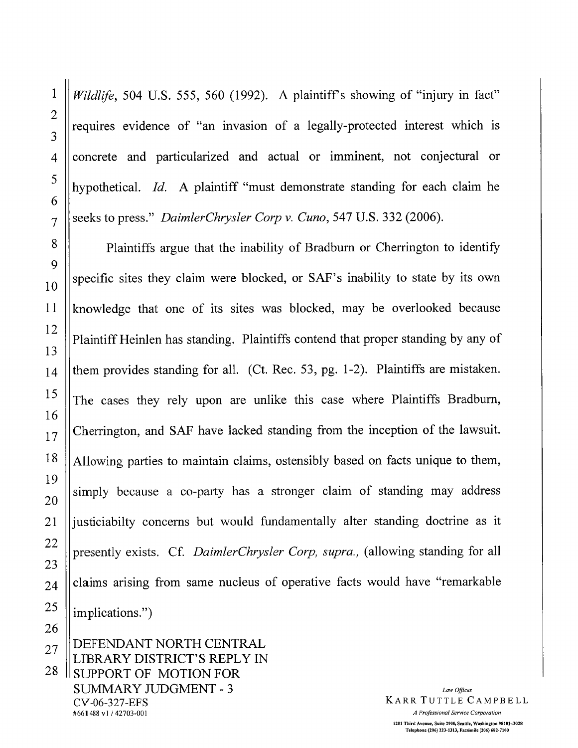Wildlife, 504 U.S. 555, 560 (1992). A plaintiff's showing of "injury in fact" requires evidence of "an invasion of a legally-protected interest which is concrete and particularized and actual or imminent, not conjectural or hypothetical. Id. A plaintiff "must demonstrate standing for each claim he seeks to press." DaimlerChrysler Corp v. Cuno, 547 U.S. 332 (2006).

Plaintiffs argue that the inability of Bradburn or Cherrington to identify specific sites they claim were blocked, or SAF's inability to state by its own knowledge that one of its sites was blocked, may be overlooked because Plaintiff Heinlen has standing. Plaintiffs contend that proper standing by any of them provides standing for all. (Ct. Rec. 53, pg. 1-2). Plaintiffs are mistaken. The cases they rely upon are unlike this case where Plaintiffs Bradburn, Cherrington, and SAF have lacked standing from the inception of the lawsuit. Allowing parties to maintain claims, ostensibly based on facts unique to them, simply because a co-party has a stronger claim of standing may address justiciabilty concerns but would fundamentally alter standing doctrine as it presently exists. Cf. DaimlerChrysler Corp, supra., (allowing standing for all claims arising from same nucleus of operative facts would have "remarkable" implications.")

DEFENDANT NORTH CENTRAL LIBRARY DISTRICT'S REPLY IN ISUPPORT OF MOTION FOR **SUMMARY JUDGMENT - 3** CV-06-327-EFS #661488 v1/42703-001

Law Offices **KARR TUTTLE CAMPBELL**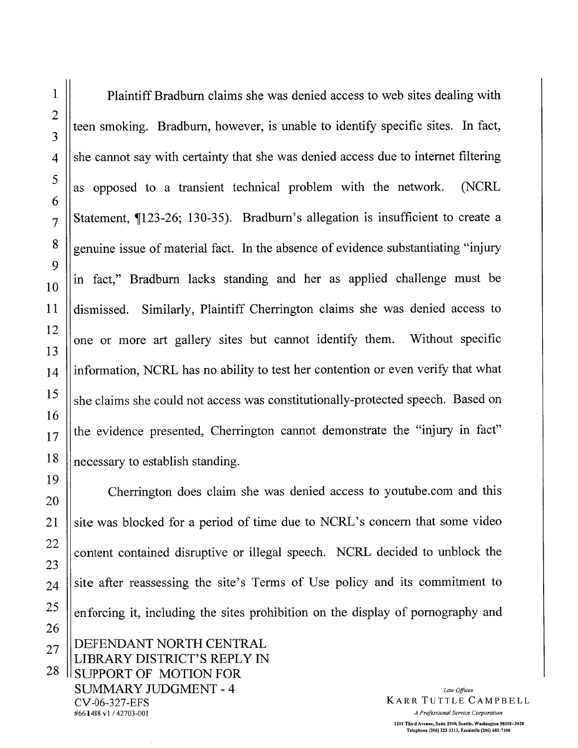CV-06-327-EFS #661488 v1/42703-001

Plaintiff Bradburn claims she was denied access to web sites dealing with teen smoking. Bradburn, however, is unable to identify specific sites. In fact, she cannot say with certainty that she was denied access due to internet filtering as opposed to a transient technical problem with the network. (NCRL) Statement, ¶123-26; 130-35). Bradburn's allegation is insufficient to create a genuine issue of material fact. In the absence of evidence substantiating "injury in fact," Bradburn lacks standing and her as applied challenge must be dismissed. Similarly, Plaintiff Cherrington claims she was denied access to one or more art gallery sites but cannot identify them. Without specific information, NCRL has no ability to test her contention or even verify that what she claims she could not access was constitutionally-protected speech. Based on the evidence presented, Cherrington cannot demonstrate the "injury in fact" necessary to establish standing.

Cherrington does claim she was denied access to youtube.com and this site was blocked for a period of time due to NCRL's concern that some video content contained disruptive or illegal speech. NCRL decided to unblock the site after reassessing the site's Terms of Use policy and its commitment to enforcing it, including the sites prohibition on the display of pornography and DEFENDANT NORTH CENTRAL LIBRARY DISTRICT'S REPLY IN SUPPORT OF MOTION FOR **SUMMARY JUDGMENT - 4** Law Offices

**KARR TUTTLE CAMPBELL** A Professional Service Corporation 1201 Third Avenue, Suite 2900, Scattle, Washington 98101-3028

Telephone (206) 223-1313, Facsimile (206) 682-7100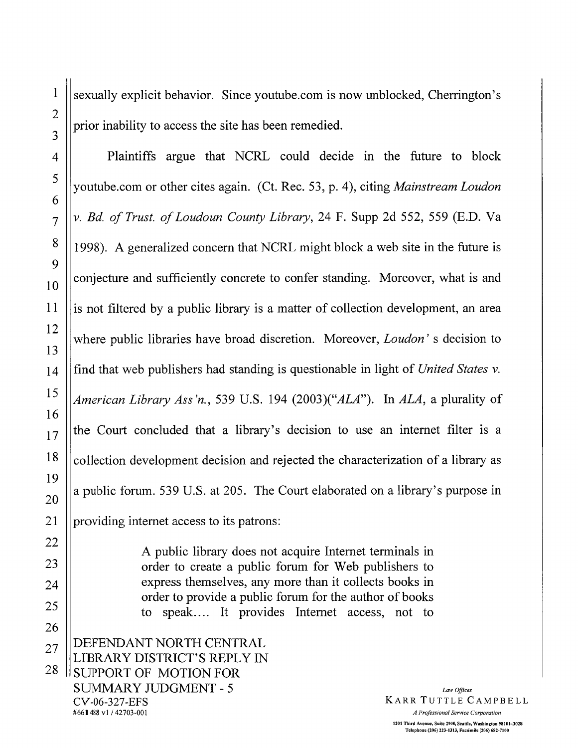sexually explicit behavior. Since youtube.com is now unblocked, Cherrington's prior inability to access the site has been remedied. Plaintiffs argue that NCRL could decide in the future to block

youtube.com or other cites again. (Ct. Rec. 53, p. 4), citing *Mainstream Loudon* v. Bd. of Trust. of Loudoun County Library, 24 F. Supp 2d 552, 559 (E.D. Va 1998). A generalized concern that NCRL might block a web site in the future is conjecture and sufficiently concrete to confer standing. Moreover, what is and is not filtered by a public library is a matter of collection development, an area where public libraries have broad discretion. Moreover, Loudon's decision to find that web publishers had standing is questionable in light of United States v. American Library Ass'n., 539 U.S. 194 (2003)("ALA"). In ALA, a plurality of the Court concluded that a library's decision to use an internet filter is a collection development decision and rejected the characterization of a library as a public forum. 539 U.S. at 205. The Court elaborated on a library's purpose in providing internet access to its patrons:

> A public library does not acquire Internet terminals in order to create a public forum for Web publishers to express themselves, any more than it collects books in order to provide a public forum for the author of books to speak.... It provides Internet access, not to

DEFENDANT NORTH CENTRAL LIBRARY DISTRICT'S REPLY IN **SUPPORT OF MOTION FOR SUMMARY JUDGMENT - 5** CV-06-327-EFS #661488 v1/42703-001

Law Offices **KARR TUTTLE CAMPBELL**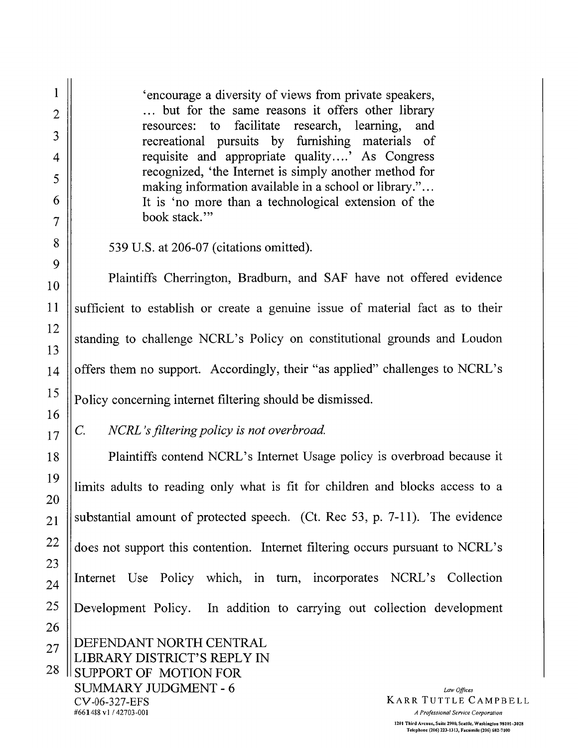$\mathbf{1}$ 'encourage a diversity of views from private speakers, ... but for the same reasons it offers other library to facilitate research, learning, resources: and recreational pursuits by furnishing materials of requisite and appropriate quality.... As Congress recognized, 'the Internet is simply another method for making information available in a school or library."... It is 'no more than a technological extension of the book stack." 539 U.S. at 206-07 (citations omitted). Plaintiffs Cherrington, Bradburn, and SAF have not offered evidence sufficient to establish or create a genuine issue of material fact as to their standing to challenge NCRL's Policy on constitutional grounds and Loudon offers them no support. Accordingly, their "as applied" challenges to NCRL's Policy concerning internet filtering should be dismissed.  $\overline{C}$ . NCRL's filtering policy is not overbroad. Plaintiffs contend NCRL's Internet Usage policy is overbroad because it limits adults to reading only what is fit for children and blocks access to a substantial amount of protected speech. (Ct. Rec 53, p. 7-11). The evidence does not support this contention. Internet filtering occurs pursuant to NCRL's Internet Use Policy which, in turn, incorporates NCRL's Collection Development Policy. In addition to carrying out collection development DEFENDANT NORTH CENTRAL **LIBRARY DISTRICT'S REPLY IN ISUPPORT OF MOTION FOR SUMMARY JUDGMENT - 6** Law Offices **KARR TUTTLE CAMPBELL** CV-06-327-EFS

#661488 v1/42703-001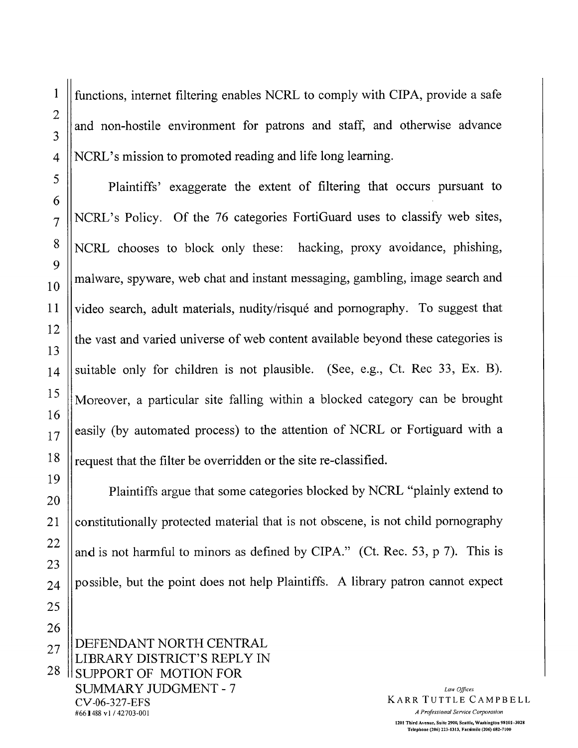$\mathbf{1}$ 

 $\overline{2}$ 

3

 $\overline{4}$ 

functions, internet filtering enables NCRL to comply with CIPA, provide a safe and non-hostile environment for patrons and staff, and otherwise advance NCRL's mission to promoted reading and life long learning.

Plaintiffs' exaggerate the extent of filtering that occurs pursuant to NCRL's Policy. Of the 76 categories FortiGuard uses to classify web sites, NCRL chooses to block only these: hacking, proxy avoidance, phishing, malware, spyware, web chat and instant messaging, gambling, image search and video search, adult materials, nudity/risqué and pornography. To suggest that the vast and varied universe of web content available beyond these categories is suitable only for children is not plausible. (See, e.g., Ct. Rec 33, Ex. B). Moreover, a particular site falling within a blocked category can be brought easily (by automated process) to the attention of NCRL or Fortiguard with a request that the filter be overridden or the site re-classified.

Plaintiffs argue that some categories blocked by NCRL "plainly extend to constitutionally protected material that is not obscene, is not child pornography and is not harmful to minors as defined by CIPA." (Ct. Rec. 53, p 7). This is possible, but the point does not help Plaintiffs. A library patron cannot expect

DEFENDANT NORTH CENTRAL LIBRARY DISTRICT'S REPLY IN SUPPORT OF MOTION FOR **SUMMARY JUDGMENT - 7** CV-06-327-EFS #661488 v1/42703-001

Law Offices **KARR TUTTLE CAMPBELL**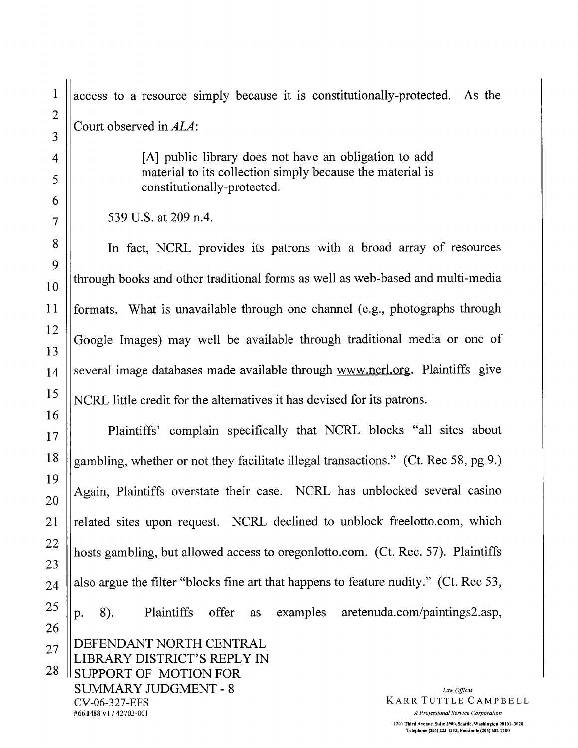CV-06-327-EFS #661488 v1/42703-001

access to a resource simply because it is constitutionally-protected. As the Court observed in ALA:

> [A] public library does not have an obligation to add material to its collection simply because the material is constitutionally-protected.

539 U.S. at 209 n.4.

In fact, NCRL provides its patrons with a broad array of resources through books and other traditional forms as well as web-based and multi-media formats. What is unavailable through one channel (e.g., photographs through Google Images) may well be available through traditional media or one of several image databases made available through www.ncrl.org. Plaintiffs give NCRL little credit for the alternatives it has devised for its patrons.

Plaintiffs' complain specifically that NCRL blocks "all sites about gambling, whether or not they facilitate illegal transactions." (Ct. Rec 58, pg 9.) Again, Plaintiffs overstate their case. NCRL has unblocked several casino related sites upon request. NCRL declined to unblock freelotto.com, which hosts gambling, but allowed access to oregon lotto.com. (Ct. Rec. 57). Plaintiffs also argue the filter "blocks fine art that happens to feature nudity." (Ct. Rec 53, aretenuda.com/paintings2.asp, 8). Plaintiffs offer examples p. as DEFENDANT NORTH CENTRAL **LIBRARY DISTRICT'S REPLY IN ISUPPORT OF MOTION FOR SUMMARY JUDGMENT - 8** Law Offices

**KARR TUTTLE CAMPBELL** A Professional Service Corporation

1201 Third Avenue, Suite 2900, Seattle, Washington 98101-3028 Telephone (206) 223-1313, Facsimile (206) 682-7100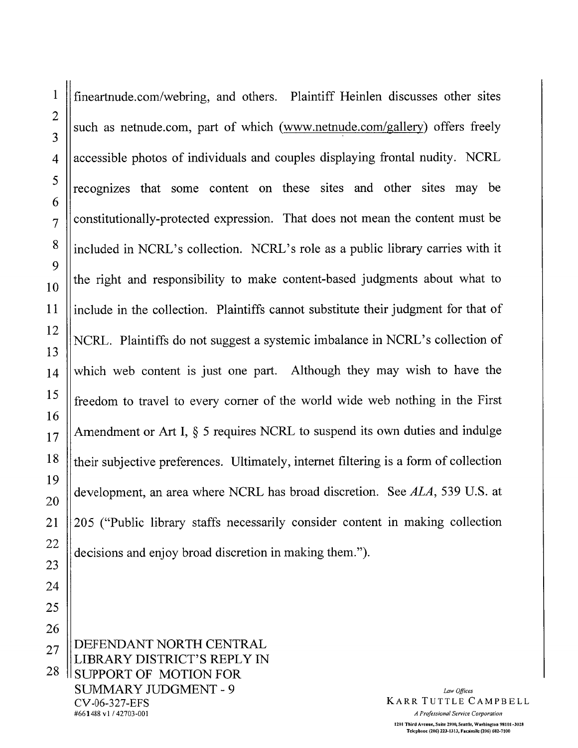fineartnude.com/webring, and others. Plaintiff Heinlen discusses other sites such as netnude.com, part of which (www.netnude.com/gallery) offers freely accessible photos of individuals and couples displaying frontal nudity. NCRL recognizes that some content on these sites and other sites may be constitutionally-protected expression. That does not mean the content must be included in NCRL's collection. NCRL's role as a public library carries with it the right and responsibility to make content-based judgments about what to include in the collection. Plaintiffs cannot substitute their judgment for that of NCRL. Plaintiffs do not suggest a systemic imbalance in NCRL's collection of which web content is just one part. Although they may wish to have the freedom to travel to every corner of the world wide web nothing in the First Amendment or Art I,  $\S$  5 requires NCRL to suspend its own duties and indulge their subjective preferences. Ultimately, internet filtering is a form of collection development, an area where NCRL has broad discretion. See ALA, 539 U.S. at 205 ("Public library staffs necessarily consider content in making collection decisions and enjoy broad discretion in making them.").

DEFENDANT NORTH CENTRAL LIBRARY DISTRICT'S REPLY IN SUPPORT OF MOTION FOR **SUMMARY JUDGMENT - 9** CV-06-327-EFS #661488 v1 / 42703-001

Law Offices **KARR TUTTLE CAMPBELL**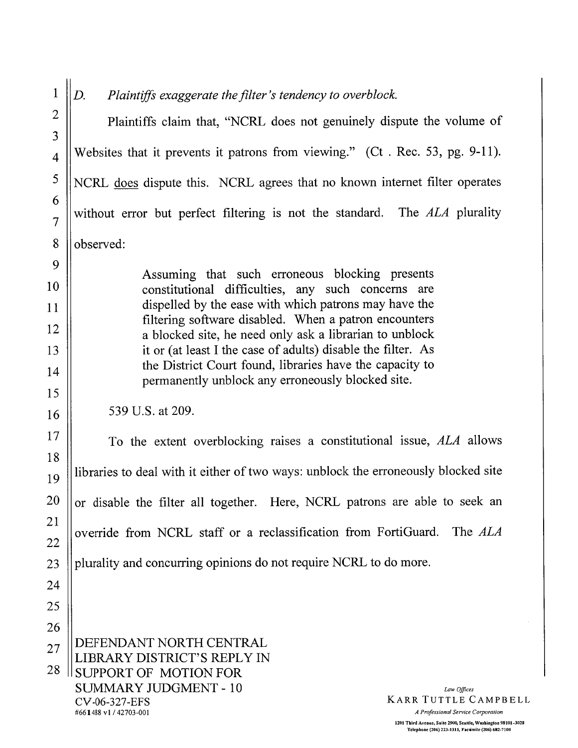$\overline{D}$ . Plaintiffs exaggerate the filter's tendency to overblock. Plaintiffs claim that, "NCRL does not genuinely dispute the volume of Websites that it prevents it patrons from viewing." (Ct. Rec. 53, pg. 9-11). NCRL does dispute this. NCRL agrees that no known internet filter operates without error but perfect filtering is not the standard. The ALA plurality observed: Assuming that such erroneous blocking presents constitutional difficulties, any such concerns are dispelled by the ease with which patrons may have the filtering software disabled. When a patron encounters a blocked site, he need only ask a librarian to unblock it or (at least I the case of adults) disable the filter. As the District Court found, libraries have the capacity to permanently unblock any erroneously blocked site. 539 U.S. at 209. To the extent overblocking raises a constitutional issue, ALA allows libraries to deal with it either of two ways: unblock the erroneously blocked site or disable the filter all together. Here, NCRL patrons are able to seek an override from NCRL staff or a reclassification from FortiGuard. The ALA plurality and concurring opinions do not require NCRL to do more. DEFENDANT NORTH CENTRAL LIBRARY DISTRICT'S REPLY IN SUPPORT OF MOTION FOR **SUMMARY JUDGMENT - 10** Law Offices **KARR TUTTLE CAMPBELL** CV-06-327-EFS #661488 v1/42703-001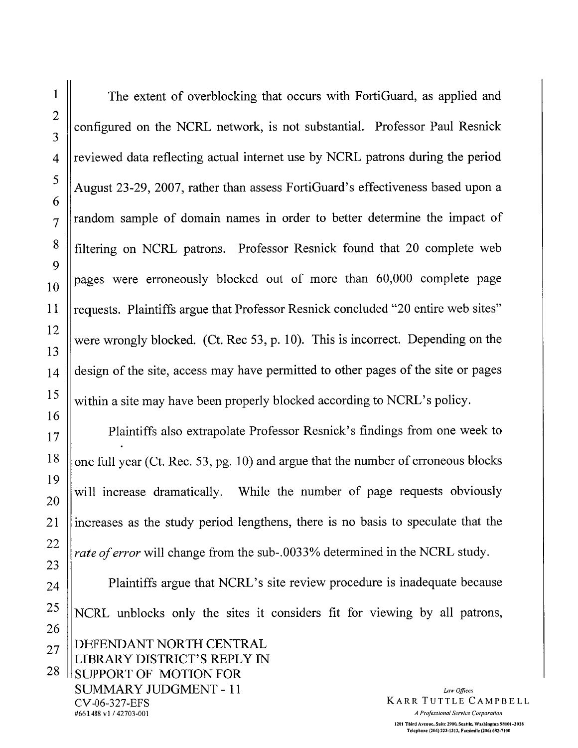The extent of overblocking that occurs with FortiGuard, as applied and configured on the NCRL network, is not substantial. Professor Paul Resnick reviewed data reflecting actual internet use by NCRL patrons during the period August 23-29, 2007, rather than assess FortiGuard's effectiveness based upon a random sample of domain names in order to better determine the impact of filtering on NCRL patrons. Professor Resnick found that 20 complete web pages were erroneously blocked out of more than 60,000 complete page requests. Plaintiffs argue that Professor Resnick concluded "20 entire web sites" were wrongly blocked. (Ct. Rec 53, p. 10). This is incorrect. Depending on the design of the site, access may have permitted to other pages of the site or pages within a site may have been properly blocked according to NCRL's policy.

Plaintiffs also extrapolate Professor Resnick's findings from one week to one full year (Ct. Rec. 53, pg. 10) and argue that the number of erroneous blocks will increase dramatically. While the number of page requests obviously increases as the study period lengthens, there is no basis to speculate that the rate of error will change from the sub-.0033% determined in the NCRL study. Plaintiffs argue that NCRL's site review procedure is inadequate because NCRL unblocks only the sites it considers fit for viewing by all patrons,

DEFENDANT NORTH CENTRAL LIBRARY DISTRICT'S REPLY IN SUPPORT OF MOTION FOR **SUMMARY JUDGMENT - 11** CV-06-327-EFS #661488 v1/42703-001

Law Offices **KARR TUTTLE CAMPBELL**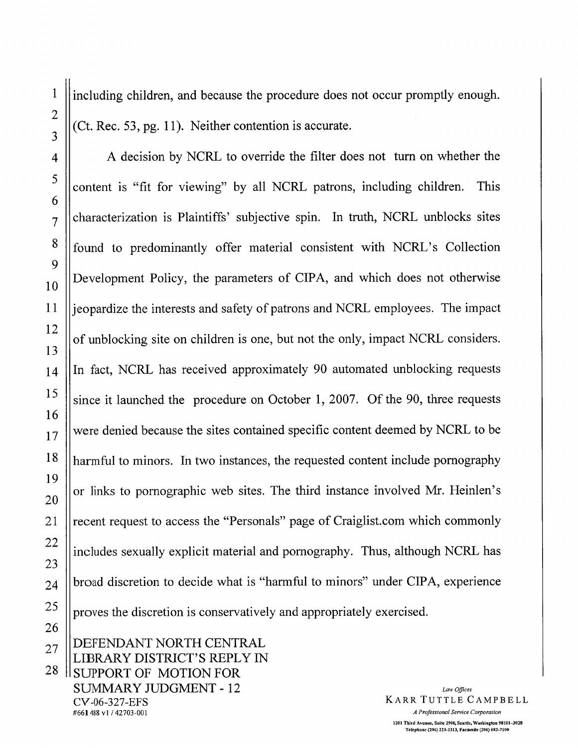including children, and because the procedure does not occur promptly enough. (Ct. Rec. 53, pg. 11). Neither contention is accurate.

A decision by NCRL to override the filter does not turn on whether the content is "fit for viewing" by all NCRL patrons, including children. This characterization is Plaintiffs' subjective spin. In truth, NCRL unblocks sites found to predominantly offer material consistent with NCRL's Collection Development Policy, the parameters of CIPA, and which does not otherwise ieopardize the interests and safety of patrons and NCRL employees. The impact of unblocking site on children is one, but not the only, impact NCRL considers. In fact, NCRL has received approximately 90 automated unblocking requests since it launched the procedure on October 1, 2007. Of the 90, three requests were denied because the sites contained specific content deemed by NCRL to be harmful to minors. In two instances, the requested content include pornography or links to pornographic web sites. The third instance involved Mr. Heinlen's recent request to access the "Personals" page of Craiglist.com which commonly includes sexually explicit material and pornography. Thus, although NCRL has broad discretion to decide what is "harmful to minors" under CIPA, experience proves the discretion is conservatively and appropriately exercised.

DEFENDANT NORTH CENTRAL LIBRARY DISTRICT'S REPLY IN **ISUPPORT OF MOTION FOR SUMMARY JUDGMENT - 12** CV-06-327-EFS #661 488 v1 / 42703-001

Law Offices **KARR TUTTLE CAMPBELL**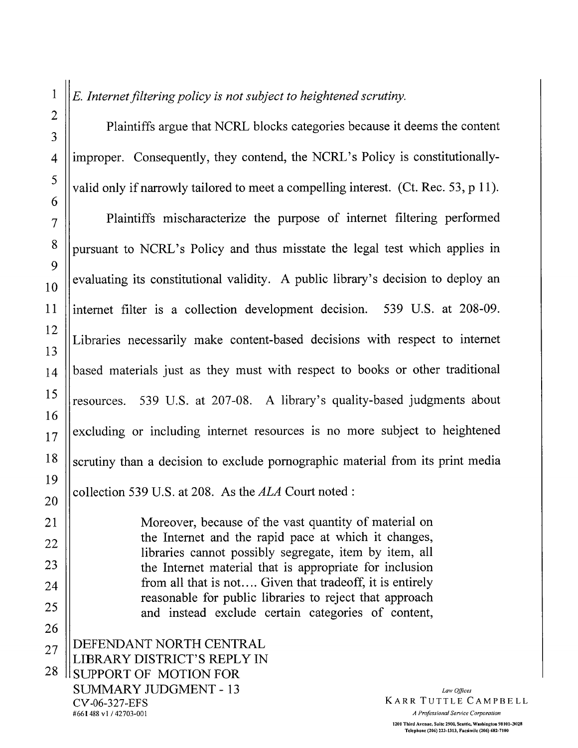Plaintiffs argue that NCRL blocks categories because it deems the content improper. Consequently, they contend, the NCRL's Policy is constitutionallyvalid only if narrowly tailored to meet a compelling interest. (Ct. Rec. 53, p 11).

Plaintiffs mischaracterize the purpose of internet filtering performed pursuant to NCRL's Policy and thus misstate the legal test which applies in evaluating its constitutional validity. A public library's decision to deploy an internet filter is a collection development decision. 539 U.S. at 208-09. Libraries necessarily make content-based decisions with respect to internet based materials just as they must with respect to books or other traditional resources. 539 U.S. at 207-08. A library's quality-based judgments about excluding or including internet resources is no more subject to heightened scrutiny than a decision to exclude pornographic material from its print media collection 539 U.S. at 208. As the ALA Court noted :

> Moreover, because of the vast quantity of material on the Internet and the rapid pace at which it changes, libraries cannot possibly segregate, item by item, all the Internet material that is appropriate for inclusion from all that is not.... Given that tradeoff, it is entirely reasonable for public libraries to reject that approach and instead exclude certain categories of content,

DEFENDANT NORTH CENTRAL LIBRARY DISTRICT'S REPLY IN **ISUPPORT OF MOTION FOR SUMMARY JUDGMENT - 13** CV-06-327-EFS #661 488 v1 / 42703-001

Law Offices **KARR TUTTLE CAMPBELL**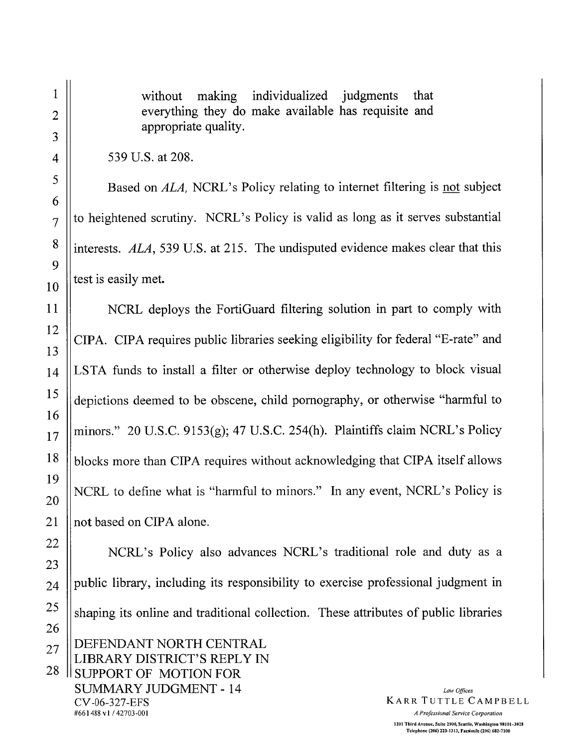individualized judgments without making that everything they do make available has requisite and appropriate quality.

539 U.S. at 208.

Based on ALA, NCRL's Policy relating to internet filtering is not subject to heightened scrutiny. NCRL's Policy is valid as long as it serves substantial interests. ALA, 539 U.S. at 215. The undisputed evidence makes clear that this test is easily met.

NCRL deploys the FortiGuard filtering solution in part to comply with CIPA. CIPA requires public libraries seeking eligibility for federal "E-rate" and LSTA funds to install a filter or otherwise deploy technology to block visual depictions deemed to be obscene, child pornography, or otherwise "harmful to minors." 20 U.S.C. 9153(g); 47 U.S.C. 254(h). Plaintiffs claim NCRL's Policy blocks more than CIPA requires without acknowledging that CIPA itself allows NCRL to define what is "harmful to minors." In any event, NCRL's Policy is not based on CIPA alone.

NCRL's Policy also advances NCRL's traditional role and duty as a public library, including its responsibility to exercise professional judgment in shaping its online and traditional collection. These attributes of public libraries DEFENDANT NORTH CENTRAL LIBRARY DISTRICT'S REPLY IN **ISUPPORT OF MOTION FOR SUMMARY JUDGMENT - 14** Law Offices KARR TUTTLE CAMPBELL CV-06-327-EFS

> A Professional Service Corporation 1201 Third Avenue, Suite 2900, Scattle, Washington 98101-3028 Telephone (206) 223-1313, Facsimile (206) 682-7100

#661488 v1/42703-001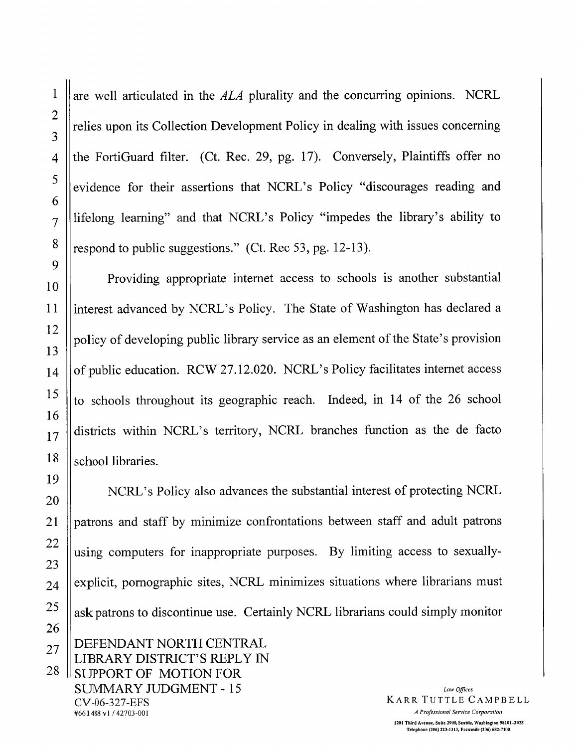CV-06-327-EFS

#661488 v1 / 42703-001

are well articulated in the ALA plurality and the concurring opinions. NCRL relies upon its Collection Development Policy in dealing with issues concerning the FortiGuard filter. (Ct. Rec. 29, pg. 17). Conversely, Plaintiffs offer no evidence for their assertions that NCRL's Policy "discourages reading and lifelong learning" and that NCRL's Policy "impedes the library's ability to respond to public suggestions." (Ct. Rec 53, pg. 12-13).

Providing appropriate internet access to schools is another substantial interest advanced by NCRL's Policy. The State of Washington has declared a policy of developing public library service as an element of the State's provision of public education. RCW 27.12.020. NCRL's Policy facilitates internet access to schools throughout its geographic reach. Indeed, in 14 of the 26 school districts within NCRL's territory, NCRL branches function as the de facto school libraries.

NCRL's Policy also advances the substantial interest of protecting NCRL patrons and staff by minimize confrontations between staff and adult patrons using computers for inappropriate purposes. By limiting access to sexuallyexplicit, pornographic sites, NCRL minimizes situations where librarians must ask patrons to discontinue use. Certainly NCRL librarians could simply monitor DEFENDANT NORTH CENTRAL LIBRARY DISTRICT'S REPLY IN SUPPORT OF MOTION FOR **SUMMARY JUDGMENT - 15** 

Law Offices **KARR TUTTLE CAMPBELL**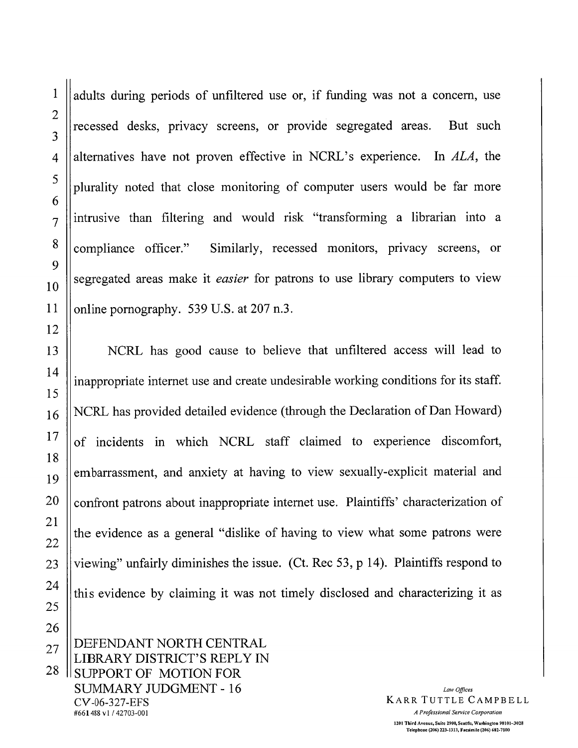adults during periods of unfiltered use or, if funding was not a concern, use recessed desks, privacy screens, or provide segregated areas. But such alternatives have not proven effective in NCRL's experience. In ALA, the plurality noted that close monitoring of computer users would be far more intrusive than filtering and would risk "transforming a librarian into a Similarly, recessed monitors, privacy screens, or compliance officer." segregated areas make it *easier* for patrons to use library computers to view online pornography. 539 U.S. at 207 n.3.

NCRL has good cause to believe that unfiltered access will lead to inappropriate internet use and create undesirable working conditions for its staff. NCRL has provided detailed evidence (through the Declaration of Dan Howard) of incidents in which NCRL staff claimed to experience discomfort, embarrassment, and anxiety at having to view sexually-explicit material and confront patrons about inappropriate internet use. Plaintiffs' characterization of the evidence as a general "dislike of having to view what some patrons were viewing" unfairly diminishes the issue. (Ct. Rec  $53$ ,  $p$  14). Plaintiffs respond to this evidence by claiming it was not timely disclosed and characterizing it as

DEFENDANT NORTH CENTRAL LIBRARY DISTRICT'S REPLY IN **ISUPPORT OF MOTION FOR SUMMARY JUDGMENT - 16** CV-06-327-EFS #661488 v1/42703-001

Law Offices KARR TUTTLE CAMPBELL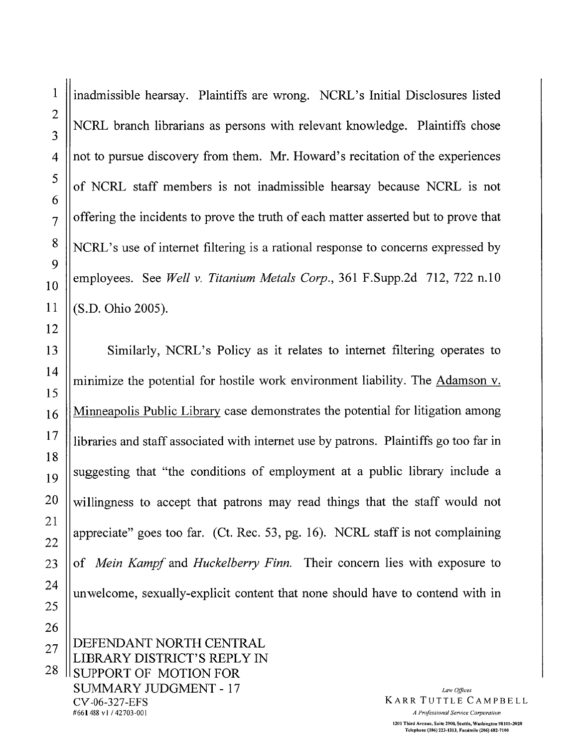inadmissible hearsay. Plaintiffs are wrong. NCRL's Initial Disclosures listed NCRL branch librarians as persons with relevant knowledge. Plaintiffs chose not to pursue discovery from them. Mr. Howard's recitation of the experiences of NCRL staff members is not inadmissible hearsay because NCRL is not offering the incidents to prove the truth of each matter asserted but to prove that NCRL's use of internet filtering is a rational response to concerns expressed by employees. See Well v. Titanium Metals Corp., 361 F.Supp.2d 712, 722 n.10 (S.D. Ohio 2005).

Similarly, NCRL's Policy as it relates to internet filtering operates to minimize the potential for hostile work environment liability. The Adamson v. Minneapolis Public Library case demonstrates the potential for litigation among libraries and staff associated with internet use by patrons. Plaintiffs go too far in suggesting that "the conditions of employment at a public library include a willingness to accept that patrons may read things that the staff would not appreciate" goes too far. (Ct. Rec. 53, pg. 16). NCRL staff is not complaining of *Mein Kampf* and *Huckelberry Finn*. Their concern lies with exposure to unwelcome, sexually-explicit content that none should have to contend with in

DEFENDANT NORTH CENTRAL LIBRARY DISTRICT'S REPLY IN **SUPPORT OF MOTION FOR SUMMARY JUDGMENT - 17** CV-06-327-EFS #661 488 v1 / 42703-001

Law Offices **KARR TUTTLE CAMPBELL**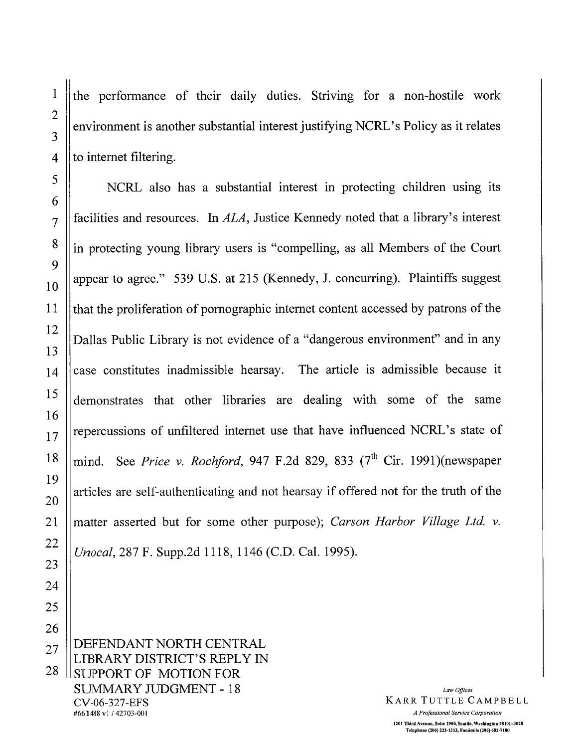the performance of their daily duties. Striving for a non-hostile work environment is another substantial interest justifying NCRL's Policy as it relates to internet filtering.

NCRL also has a substantial interest in protecting children using its facilities and resources. In ALA, Justice Kennedy noted that a library's interest in protecting young library users is "compelling, as all Members of the Court appear to agree." 539 U.S. at 215 (Kennedy, J. concurring). Plaintiffs suggest that the proliferation of pornographic internet content accessed by patrons of the Dallas Public Library is not evidence of a "dangerous environment" and in any case constitutes inadmissible hearsay. The article is admissible because it demonstrates that other libraries are dealing with some of the same repercussions of unfiltered internet use that have influenced NCRL's state of mind. See Price v. Rochford, 947 F.2d 829, 833  $(7<sup>th</sup>$  Cir. 1991)(newspaper articles are self-authenticating and not hearsay if offered not for the truth of the matter asserted but for some other purpose); Carson Harbor Village Ltd. v. Unocal, 287 F. Supp.2d 1118, 1146 (C.D. Cal. 1995).

DEFENDANT NORTH CENTRAL LIBRARY DISTRICT'S REPLY IN **ISUPPORT OF MOTION FOR SUMMARY JUDGMENT - 18** CV-06-327-EFS #661488 v1 / 42703-001

Law Offices **KARR TUTTLE CAMPBELL** 

A Professional Service Corporation 1201 Third Avenue, Suite 2900, Seattle, Washington 98101-3028 Telephone (206) 223-1313, Facsimile (206) 682-7100

 $\mathbf{1}$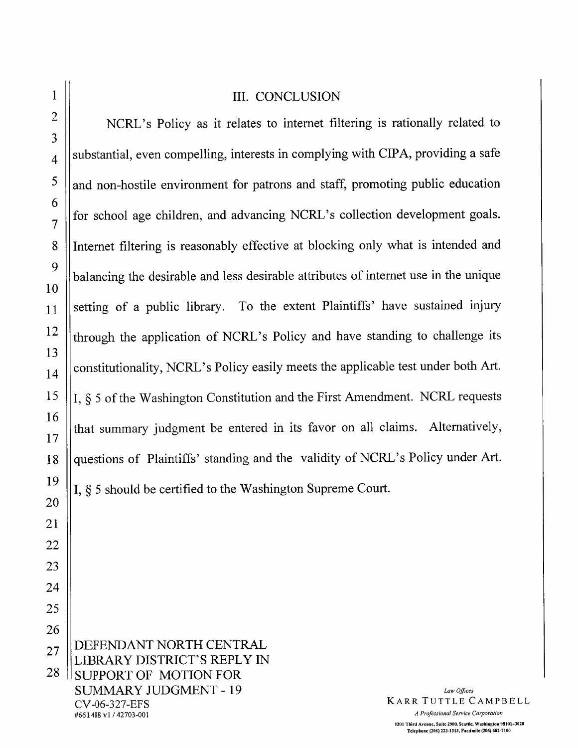## III. CONCLUSION

NCRL's Policy as it relates to internet filtering is rationally related to substantial, even compelling, interests in complying with CIPA, providing a safe and non-hostile environment for patrons and staff, promoting public education for school age children, and advancing NCRL's collection development goals. Internet filtering is reasonably effective at blocking only what is intended and balancing the desirable and less desirable attributes of internet use in the unique setting of a public library. To the extent Plaintiffs' have sustained injury through the application of NCRL's Policy and have standing to challenge its constitutionality, NCRL's Policy easily meets the applicable test under both Art. I, § 5 of the Washington Constitution and the First Amendment. NCRL requests that summary judgment be entered in its favor on all claims. Alternatively, questions of Plaintiffs' standing and the validity of NCRL's Policy under Art. I, § 5 should be certified to the Washington Supreme Court.

25 26 DEFENDANT NORTH CENTRAL  $27$ LIBRARY DISTRICT'S REPLY IN 28 SUPPORT OF MOTION FOR **SUMMARY JUDGMENT - 19** CV-06-327-EFS #661488 v1/42703-001

Law Offices **KARR TUTTLE CAMPBELL**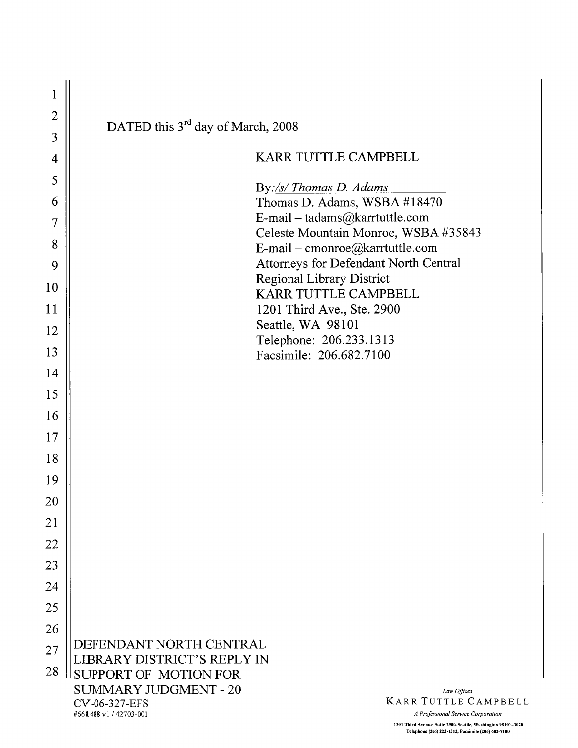| $\mathbf{1}$   |                                                                       |                                                                                  |
|----------------|-----------------------------------------------------------------------|----------------------------------------------------------------------------------|
| $\overline{2}$ |                                                                       |                                                                                  |
| 3              | DATED this 3 <sup>rd</sup> day of March, 2008                         |                                                                                  |
| 4              |                                                                       | <b>KARR TUTTLE CAMPBELL</b>                                                      |
| 5              |                                                                       |                                                                                  |
| 6              |                                                                       | By:/s/ Thomas D. Adams<br>Thomas D. Adams, WSBA #18470                           |
| 7              |                                                                       | E-mail - tadams@karrtuttle.com                                                   |
| 8              |                                                                       | Celeste Mountain Monroe, WSBA #35843<br>E-mail - cmonroe@karrtuttle.com          |
| 9              |                                                                       | Attorneys for Defendant North Central                                            |
| 10             |                                                                       | <b>Regional Library District</b><br>KARR TUTTLE CAMPBELL                         |
| 11             |                                                                       | 1201 Third Ave., Ste. 2900                                                       |
| 12             |                                                                       | Seattle, WA 98101                                                                |
| 13             |                                                                       | Telephone: 206.233.1313<br>Facsimile: 206.682.7100                               |
| 14             |                                                                       |                                                                                  |
| 15             |                                                                       |                                                                                  |
| 16             |                                                                       |                                                                                  |
| 17             |                                                                       |                                                                                  |
| 18             |                                                                       |                                                                                  |
| 19             |                                                                       |                                                                                  |
| 20             |                                                                       |                                                                                  |
| 21             |                                                                       |                                                                                  |
| 22             |                                                                       |                                                                                  |
| 23             |                                                                       |                                                                                  |
| 24             |                                                                       |                                                                                  |
| 25             |                                                                       |                                                                                  |
| 26             |                                                                       |                                                                                  |
| 27             | DEFENDANT NORTH CENTRAL<br>LIBRARY DISTRICT'S REPLY IN                |                                                                                  |
| 28             | SUPPORT OF MOTION FOR                                                 |                                                                                  |
|                | <b>SUMMARY JUDGMENT - 20</b><br>CV-06-327-EFS<br>#661488 v1/42703-001 | Law Offices<br><b>KARR TUTTLE CAMPBELL</b><br>A Professional Service Corporation |